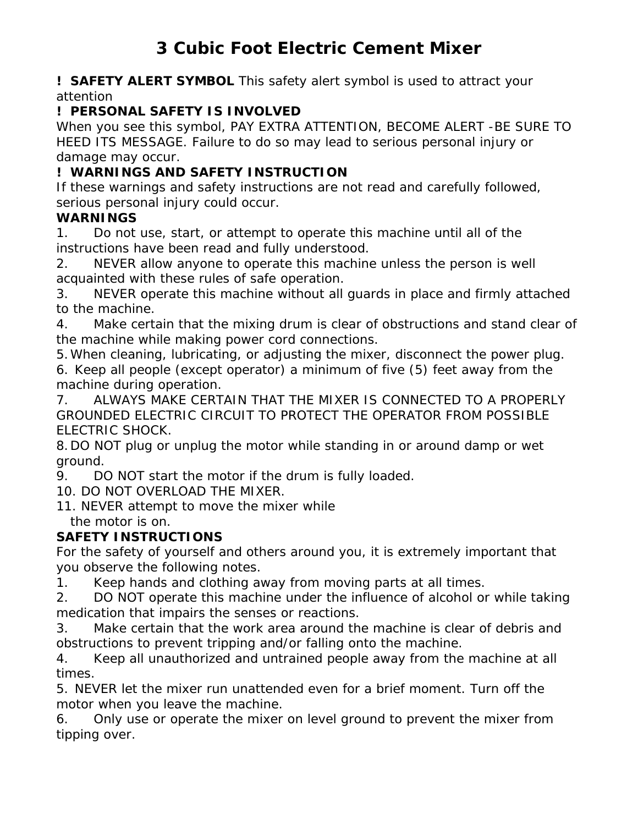**! SAFETY ALERT SYMBOL** This safety alert symbol is used to attract your attention

## **! PERSONAL SAFETY IS INVOLVED**

When you see this symbol, PAY EXTRA ATTENTION, BECOME ALERT -BE SURE TO HEED ITS MESSAGE. Failure to do so may lead to serious personal injury or damage may occur.

# **! WARNINGS AND SAFETY INSTRUCTION**

If these warnings and safety instructions are not read and carefully followed, serious personal injury could occur.

### **WARNINGS**

1. Do not use, start, or attempt to operate this machine until all of the instructions have been read and fully understood.

2. NEVER allow anyone to operate this machine unless the person is well acquainted with these rules of safe operation.

3. NEVER operate this machine without all guards in place and firmly attached to the machine.

4. Make certain that the mixing drum is clear of obstructions and stand clear of the machine while making power cord connections.

5. When cleaning, lubricating, or adjusting the mixer, disconnect the power plug. 6. Keep all people (except operator) a minimum of five (5) feet away from the machine during operation.

7. ALWAYS MAKE CERTAIN THAT THE MIXER IS CONNECTED TO A PROPERLY GROUNDED ELECTRIC CIRCUIT TO PROTECT THE OPERATOR FROM POSSIBLE ELECTRIC SHOCK.

8. DO NOT plug or unplug the motor while standing in or around damp or wet ground.

9. DO NOT start the motor if the drum is fully loaded.

10. DO NOT OVERLOAD THE MIXER.

11. NEVER attempt to move the mixer while the motor is on.

## **SAFETY INSTRUCTIONS**

For the safety of yourself and others around you, it is extremely important that you observe the following notes.

1. Keep hands and clothing away from moving parts at all times.

2. DO NOT operate this machine under the influence of alcohol or while taking medication that impairs the senses or reactions.

3. Make certain that the work area around the machine is clear of debris and obstructions to prevent tripping and/or falling onto the machine.

4. Keep all unauthorized and untrained people away from the machine at all times.

5. NEVER let the mixer run unattended even for a brief moment. Turn off the motor when you leave the machine.

6. Only use or operate the mixer on level ground to prevent the mixer from tipping over.